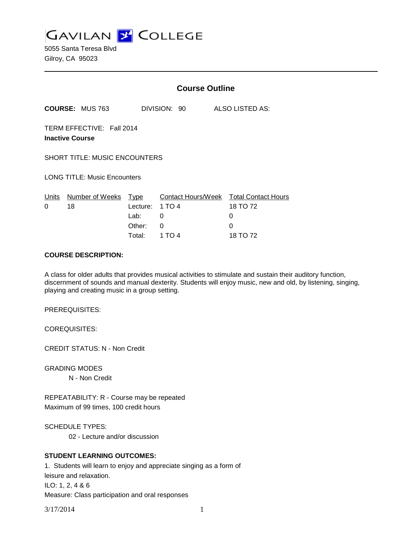

5055 Santa Teresa Blvd Gilroy, CA 95023

|                                                     |                        | <b>Course Outline</b> |                    |  |                            |
|-----------------------------------------------------|------------------------|-----------------------|--------------------|--|----------------------------|
|                                                     | <b>COURSE: MUS 763</b> |                       | DIVISION: 90       |  | ALSO LISTED AS:            |
| TERM EFFECTIVE: Fall 2014<br><b>Inactive Course</b> |                        |                       |                    |  |                            |
| <b>SHORT TITLE: MUSIC ENCOUNTERS</b>                |                        |                       |                    |  |                            |
| <b>LONG TITLE: Music Encounters</b>                 |                        |                       |                    |  |                            |
| Units                                               | Number of Weeks        | Type                  | Contact Hours/Week |  | <b>Total Contact Hours</b> |
| $\Omega$                                            | 18                     | Lecture:              | 1 TO 4             |  | 18 TO 72                   |
|                                                     |                        | Lab:                  | 0                  |  | 0                          |
|                                                     |                        | Other:                | 0                  |  | $\Omega$                   |
|                                                     |                        | Total:                | 1 TO 4             |  | 18 TO 72                   |

## **COURSE DESCRIPTION:**

A class for older adults that provides musical activities to stimulate and sustain their auditory function, discernment of sounds and manual dexterity. Students will enjoy music, new and old, by listening, singing, playing and creating music in a group setting.

PREREQUISITES:

COREQUISITES:

CREDIT STATUS: N - Non Credit

GRADING MODES N - Non Credit

REPEATABILITY: R - Course may be repeated Maximum of 99 times, 100 credit hours

SCHEDULE TYPES:

02 - Lecture and/or discussion

# **STUDENT LEARNING OUTCOMES:**

1. Students will learn to enjoy and appreciate singing as a form of leisure and relaxation. ILO: 1, 2, 4 & 6 Measure: Class participation and oral responses

3/17/2014 1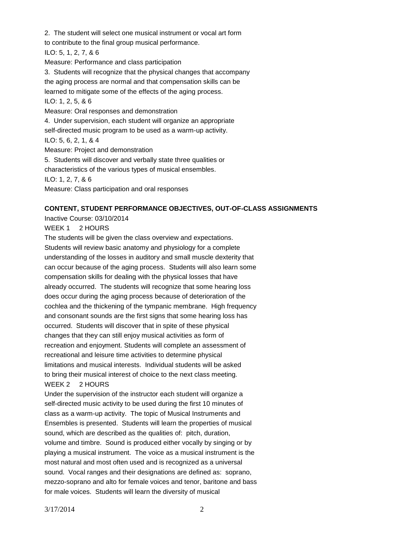2. The student will select one musical instrument or vocal art form to contribute to the final group musical performance. ILO: 5, 1, 2, 7, & 6 Measure: Performance and class participation 3. Students will recognize that the physical changes that accompany the aging process are normal and that compensation skills can be learned to mitigate some of the effects of the aging process. ILO: 1, 2, 5, & 6 Measure: Oral responses and demonstration 4. Under supervision, each student will organize an appropriate self-directed music program to be used as a warm-up activity. ILO: 5, 6, 2, 1, & 4 Measure: Project and demonstration 5. Students will discover and verbally state three qualities or characteristics of the various types of musical ensembles. ILO: 1, 2, 7, & 6 Measure: Class participation and oral responses

### **CONTENT, STUDENT PERFORMANCE OBJECTIVES, OUT-OF-CLASS ASSIGNMENTS**

Inactive Course: 03/10/2014

WEEK 1 2 HOURS

The students will be given the class overview and expectations. Students will review basic anatomy and physiology for a complete understanding of the losses in auditory and small muscle dexterity that can occur because of the aging process. Students will also learn some compensation skills for dealing with the physical losses that have already occurred. The students will recognize that some hearing loss does occur during the aging process because of deterioration of the cochlea and the thickening of the tympanic membrane. High frequency and consonant sounds are the first signs that some hearing loss has occurred. Students will discover that in spite of these physical changes that they can still enjoy musical activities as form of recreation and enjoyment. Students will complete an assessment of recreational and leisure time activities to determine physical limitations and musical interests. Individual students will be asked to bring their musical interest of choice to the next class meeting. WEEK 2 2 HOURS

Under the supervision of the instructor each student will organize a self-directed music activity to be used during the first 10 minutes of class as a warm-up activity. The topic of Musical Instruments and Ensembles is presented. Students will learn the properties of musical sound, which are described as the qualities of: pitch, duration, volume and timbre. Sound is produced either vocally by singing or by playing a musical instrument. The voice as a musical instrument is the most natural and most often used and is recognized as a universal sound. Vocal ranges and their designations are defined as: soprano, mezzo-soprano and alto for female voices and tenor, baritone and bass for male voices. Students will learn the diversity of musical

3/17/2014 2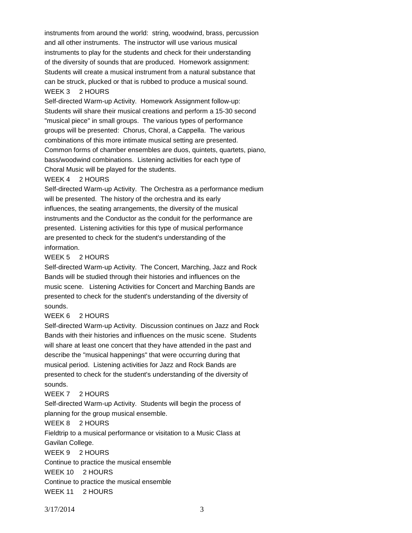instruments from around the world: string, woodwind, brass, percussion and all other instruments. The instructor will use various musical instruments to play for the students and check for their understanding of the diversity of sounds that are produced. Homework assignment: Students will create a musical instrument from a natural substance that can be struck, plucked or that is rubbed to produce a musical sound. WEEK 3 2 HOURS

Self-directed Warm-up Activity. Homework Assignment follow-up: Students will share their musical creations and perform a 15-30 second "musical piece" in small groups. The various types of performance groups will be presented: Chorus, Choral, a Cappella. The various combinations of this more intimate musical setting are presented. Common forms of chamber ensembles are duos, quintets, quartets, piano, bass/woodwind combinations. Listening activities for each type of Choral Music will be played for the students.

#### WEEK 4 2 HOURS

Self-directed Warm-up Activity. The Orchestra as a performance medium will be presented. The history of the orchestra and its early influences, the seating arrangements, the diversity of the musical instruments and the Conductor as the conduit for the performance are presented. Listening activities for this type of musical performance are presented to check for the student's understanding of the information.

## WEEK 5 2 HOURS

Self-directed Warm-up Activity. The Concert, Marching, Jazz and Rock Bands will be studied through their histories and influences on the music scene. Listening Activities for Concert and Marching Bands are presented to check for the student's understanding of the diversity of sounds.

#### WEEK 6 2 HOURS

Self-directed Warm-up Activity. Discussion continues on Jazz and Rock Bands with their histories and influences on the music scene. Students will share at least one concert that they have attended in the past and describe the "musical happenings" that were occurring during that musical period. Listening activities for Jazz and Rock Bands are presented to check for the student's understanding of the diversity of sounds.

## WEEK 7 2 HOURS

Self-directed Warm-up Activity. Students will begin the process of planning for the group musical ensemble.

### WEEK 8 2 HOURS

Fieldtrip to a musical performance or visitation to a Music Class at Gavilan College. WEEK 9 2 HOURS Continue to practice the musical ensemble WEEK 10 2 HOURS Continue to practice the musical ensemble WEEK 11 2 HOURS